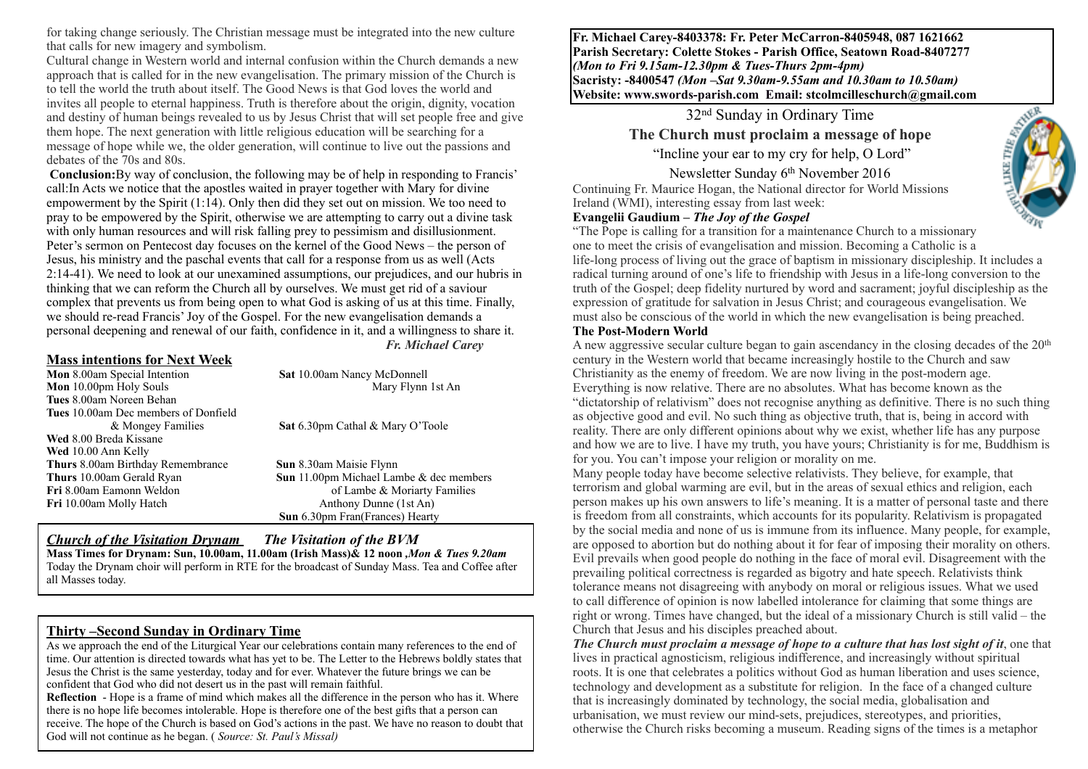for taking change seriously. The Christian message must be integrated into the new culture that calls for new imagery and symbolism.

Cultural change in Western world and internal confusion within the Church demands a new approach that is called for in the new evangelisation. The primary mission of the Church is to tell the world the truth about itself. The Good News is that God loves the world and invites all people to eternal happiness. Truth is therefore about the origin, dignity, vocation and destiny of human beings revealed to us by Jesus Christ that will set people free and give them hope. The next generation with little religious education will be searching for a message of hope while we, the older generation, will continue to live out the passions and debates of the 70s and 80s.

**Conclusion:**By way of conclusion, the following may be of help in responding to Francis' call:In Acts we notice that the apostles waited in prayer together with Mary for divine empowerment by the Spirit (1:14). Only then did they set out on mission. We too need to pray to be empowered by the Spirit, otherwise we are attempting to carry out a divine task with only human resources and will risk falling prey to pessimism and disillusionment. Peter's sermon on Pentecost day focuses on the kernel of the Good News – the person of Jesus, his ministry and the paschal events that call for a response from us as well (Acts 2:14-41). We need to look at our unexamined assumptions, our prejudices, and our hubris in thinking that we can reform the Church all by ourselves. We must get rid of a saviour complex that prevents us from being open to what God is asking of us at this time. Finally, we should re-read Francis' Joy of the Gospel. For the new evangelisation demands a personal deepening and renewal of our faith, confidence in it, and a willingness to share it. *Fr. Michael Carey* 

# **Mass intentions for Next Week**<br>**Mon** 8.00am Special Intention

**Mon** 10.00pm Holy Souls **Mary Flynn** 1st An **Tues** 8.00am Noreen Behan **Tues** 10.00am Dec members of Donfield & Mongey Families **Sat** 6.30pm Cathal & Mary O'Toole **Wed** 8.00 Breda Kissane **Wed** 10.00 Ann Kelly **Thurs** 8.00am Birthday Remembrance **Sun** 8.30am Maisie Flynn **Thurs** 10.00am Gerald Ryan **Sun** 11.00pm Michael Lambe & dec members **Fri** 8.00am Eamonn Weldon **of Lambe & Moriarty Families Fri** 10.00am Molly Hatch Anthony Dunne (1st An)

**Sat 10.00am Nancy McDonnell** 

**Sun** 6.30pm Fran(Frances) Hearty

# *Church of the Visitation Drynam**The Visitation of the BVM*

**Mass Times for Drynam: Sun, 10.00am, 11.00am (Irish Mass)& 12 noon** *,Mon & Tues 9.20am*  Today the Drynam choir will perform in RTE for the broadcast of Sunday Mass. Tea and Coffee after all Masses today.

### **Thirty –Second Sunday in Ordinary Time**

As we approach the end of the Liturgical Year our celebrations contain many references to the end of time. Our attention is directed towards what has yet to be. The Letter to the Hebrews boldly states that Jesus the Christ is the same yesterday, today and for ever. Whatever the future brings we can be confident that God who did not desert us in the past will remain faithful.

**Reflection** - Hope is a frame of mind which makes all the difference in the person who has it. Where there is no hope life becomes intolerable. Hope is therefore one of the best gifts that a person can receive. The hope of the Church is based on God's actions in the past. We have no reason to doubt that God will not continue as he began. ( *Source: St. Paul's Missal)*

**Fr. Michael Carey-8403378: Fr. Peter McCarron-8405948, 087 1621662 Parish Secretary: Colette Stokes - Parish Office, Seatown Road-8407277**  *(Mon to Fri 9.15am-12.30pm & Tues-Thurs 2pm-4pm)*  **Sacristy: -8400547** *(Mon –Sat 9.30am-9.55am and 10.30am to 10.50am)* **Website: [www.swords-parish.com Email:](http://www.swords-parish.com%20%20email) stcolmcilleschurch@gmail.com**

# 32nd Sunday in Ordinary Time **The Church must proclaim a message of hope**

"Incline your ear to my cry for help, O Lord"

Newsletter Sunday 6<sup>th</sup> November 2016<br>Continuing Fr. Maurice Hogan, the National director for World Missions Ireland (WMI), interesting essay from last week:

#### **Evangelii Gaudium –** *The Joy of the Gospel*



"The Pope is calling for a transition for a maintenance Church to a missionary one to meet the crisis of evangelisation and mission. Becoming a Catholic is a life-long process of living out the grace of baptism in missionary discipleship. It includes a radical turning around of one's life to friendship with Jesus in a life-long conversion to the truth of the Gospel; deep fidelity nurtured by word and sacrament; joyful discipleship as the expression of gratitude for salvation in Jesus Christ; and courageous evangelisation. We must also be conscious of the world in which the new evangelisation is being preached.

#### **The Post-Modern World**

A new aggressive secular culture began to gain ascendancy in the closing decades of the 20th century in the Western world that became increasingly hostile to the Church and saw Christianity as the enemy of freedom. We are now living in the post-modern age. Everything is now relative. There are no absolutes. What has become known as the "dictatorship of relativism" does not recognise anything as definitive. There is no such thing as objective good and evil. No such thing as objective truth, that is, being in accord with reality. There are only different opinions about why we exist, whether life has any purpose and how we are to live. I have my truth, you have yours; Christianity is for me, Buddhism is for you. You can't impose your religion or morality on me.

Many people today have become selective relativists. They believe, for example, that terrorism and global warming are evil, but in the areas of sexual ethics and religion, each person makes up his own answers to life's meaning. It is a matter of personal taste and there is freedom from all constraints, which accounts for its popularity. Relativism is propagated by the social media and none of us is immune from its influence. Many people, for example, are opposed to abortion but do nothing about it for fear of imposing their morality on others. Evil prevails when good people do nothing in the face of moral evil. Disagreement with the prevailing political correctness is regarded as bigotry and hate speech. Relativists think tolerance means not disagreeing with anybody on moral or religious issues. What we used to call difference of opinion is now labelled intolerance for claiming that some things are right or wrong. Times have changed, but the ideal of a missionary Church is still valid – the Church that Jesus and his disciples preached about.

*The Church must proclaim a message of hope to a culture that has lost sight of it***, one that** lives in practical agnosticism, religious indifference, and increasingly without spiritual roots. It is one that celebrates a politics without God as human liberation and uses science, technology and development as a substitute for religion. In the face of a changed culture that is increasingly dominated by technology, the social media, globalisation and urbanisation, we must review our mind-sets, prejudices, stereotypes, and priorities, otherwise the Church risks becoming a museum. Reading signs of the times is a metaphor